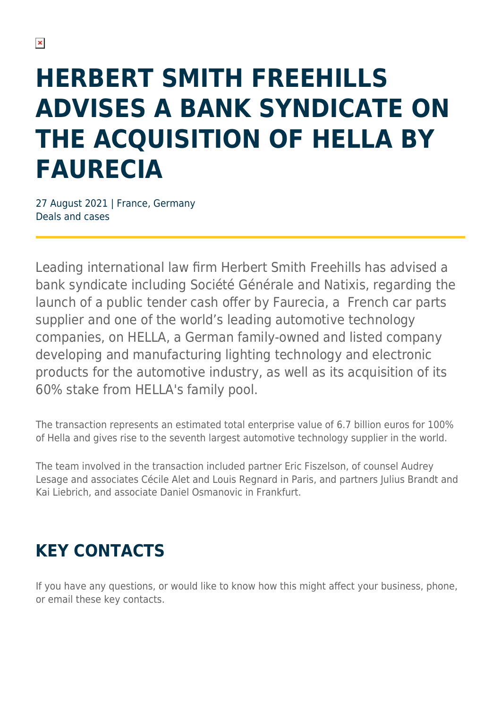## **HERBERT SMITH FREEHILLS ADVISES A BANK SYNDICATE ON THE ACQUISITION OF HELLA BY FAURECIA**

27 August 2021 | France, Germany Deals and cases

Leading international law firm Herbert Smith Freehills has advised a bank syndicate including Société Générale and Natixis, regarding the launch of a public tender cash offer by Faurecia, a French car parts supplier and one of the world's leading automotive technology companies, on HELLA, a German family-owned and listed company developing and manufacturing lighting technology and electronic products for the automotive industry, as well as its acquisition of its 60% stake from HELLA's family pool.

The transaction represents an estimated total enterprise value of 6.7 billion euros for 100% of Hella and gives rise to the seventh largest automotive technology supplier in the world.

The team involved in the transaction included partner Eric Fiszelson, of counsel Audrey Lesage and associates Cécile Alet and Louis Regnard in Paris, and partners Julius Brandt and Kai Liebrich, and associate Daniel Osmanovic in Frankfurt.

## **KEY CONTACTS**

If you have any questions, or would like to know how this might affect your business, phone, or email these key contacts.